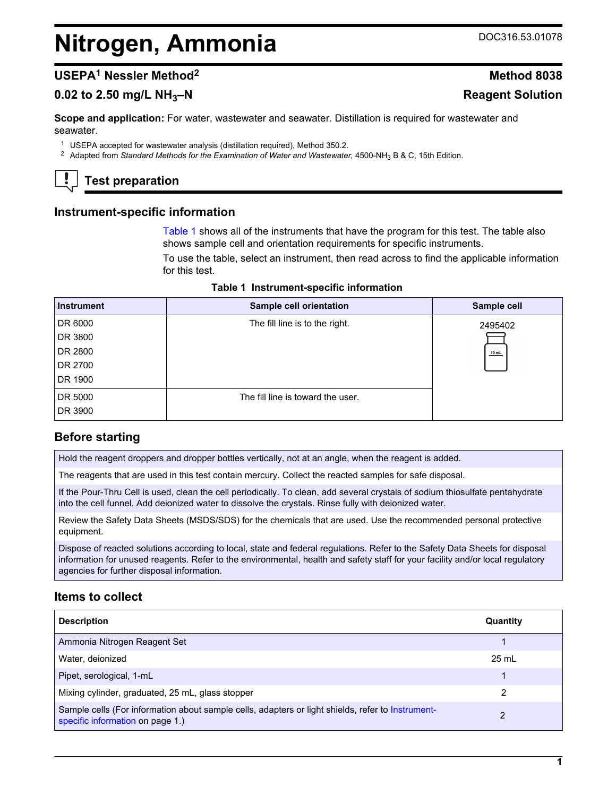# **Nitrogen, Ammonia** DOC316.53.01078

# **USEPA<sup>1</sup> Nessler Method<sup>2</sup> Method 8038**

# **0.02 to 2.50 mg/L NH3–N Reagent Solution**

**Scope and application:** For water, wastewater and seawater. Distillation is required for wastewater and seawater.

<sup>1</sup> USEPA accepted for wastewater analysis (distillation required), Method 350.2.

<sup>2</sup> Adapted from *Standard Methods for the Examination of Water and Wastewater*, 4500-NH<sub>3</sub> B & C, 15th Edition.

# **Test preparation**

# **Instrument-specific information**

[Table 1](#page-0-0) shows all of the instruments that have the program for this test. The table also shows sample cell and orientation requirements for specific instruments.

To use the table, select an instrument, then read across to find the applicable information for this test.

|  | Table 1 Instrument-specific information |
|--|-----------------------------------------|
|--|-----------------------------------------|

<span id="page-0-1"></span><span id="page-0-0"></span>

| <b>Instrument</b> | Sample cell orientation           | Sample cell |
|-------------------|-----------------------------------|-------------|
| DR 6000           | The fill line is to the right.    | 2495402     |
| DR 3800           |                                   |             |
| DR 2800           |                                   | $10$ mL     |
| DR 2700           |                                   |             |
| DR 1900           |                                   |             |
| DR 5000           | The fill line is toward the user. |             |
| DR 3900           |                                   |             |

# **Before starting**

Hold the reagent droppers and dropper bottles vertically, not at an angle, when the reagent is added.

The reagents that are used in this test contain mercury. Collect the reacted samples for safe disposal.

If the Pour-Thru Cell is used, clean the cell periodically. To clean, add several crystals of sodium thiosulfate pentahydrate into the cell funnel. Add deionized water to dissolve the crystals. Rinse fully with deionized water.

Review the Safety Data Sheets (MSDS/SDS) for the chemicals that are used. Use the recommended personal protective equipment.

Dispose of reacted solutions according to local, state and federal regulations. Refer to the Safety Data Sheets for disposal information for unused reagents. Refer to the environmental, health and safety staff for your facility and/or local regulatory agencies for further disposal information.

# **Items to collect**

| <b>Description</b>                                                                                                                    | Quantity        |
|---------------------------------------------------------------------------------------------------------------------------------------|-----------------|
| Ammonia Nitrogen Reagent Set                                                                                                          |                 |
| Water, deionized                                                                                                                      | $25 \text{ mL}$ |
| Pipet, serological, 1-mL                                                                                                              |                 |
| Mixing cylinder, graduated, 25 mL, glass stopper                                                                                      | 2               |
| Sample cells (For information about sample cells, adapters or light shields, refer to Instrument-<br>specific information on page 1.) | 2               |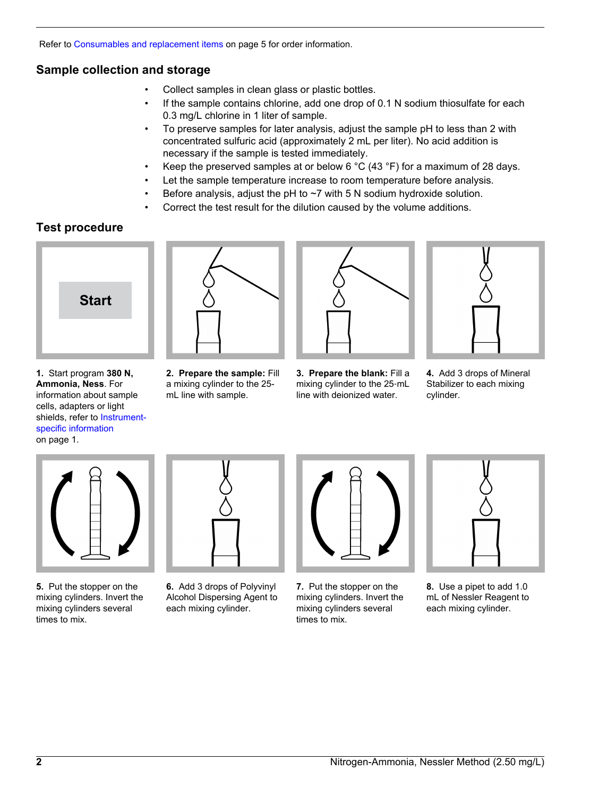Refer to [Consumables and replacement items](#page-4-0) on page 5 for order information.

# **Sample collection and storage**

- Collect samples in clean glass or plastic bottles.
- If the sample contains chlorine, add one drop of 0.1 N sodium thiosulfate for each 0.3 mg/L chlorine in 1 liter of sample.
- To preserve samples for later analysis, adjust the sample pH to less than 2 with concentrated sulfuric acid (approximately 2 mL per liter). No acid addition is necessary if the sample is tested immediately.
- Keep the preserved samples at or below 6 °C (43 °F) for a maximum of 28 days.
- Let the sample temperature increase to room temperature before analysis.
- Before analysis, adjust the pH to  $\sim$ 7 with 5 N sodium hydroxide solution.
- Correct the test result for the dilution caused by the volume additions.

# **Test procedure**

<span id="page-1-0"></span>

**1.** Start program **380 N, Ammonia, Ness**. For information about sample cells, adapters or light shields, refer to [Instrument](#page-0-1)[specific information](#page-0-1)

on page 1.



**2. Prepare the sample:** Fill a mixing cylinder to the 25 mL line with sample.



**3. Prepare the blank:** Fill a mixing cylinder to the 25‑mL line with deionized water.



**4.** Add 3 drops of Mineral Stabilizer to each mixing cylinder.



**5.** Put the stopper on the mixing cylinders. Invert the mixing cylinders several times to mix.



**6.** Add 3 drops of Polyvinyl Alcohol Dispersing Agent to each mixing cylinder.



**7.** Put the stopper on the mixing cylinders. Invert the mixing cylinders several times to mix.



**8.** Use a pipet to add 1.0 mL of Nessler Reagent to each mixing cylinder.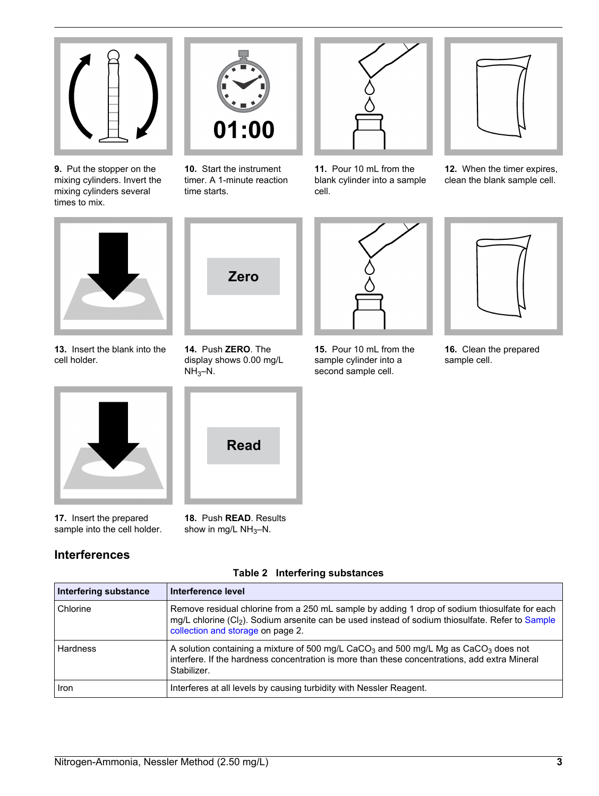

**9.** Put the stopper on the mixing cylinders. Invert the mixing cylinders several times to mix.



**10.** Start the instrument timer. A 1-minute reaction time starts.



**11.** Pour 10 mL from the blank cylinder into a sample cell.



**12.** When the timer expires, clean the blank sample cell.



**13.** Insert the blank into the cell holder.



**17.** Insert the prepared sample into the cell holder.

# **Interferences**



**14.** Push **ZERO**. The display shows 0.00 mg/L  $NH<sub>3</sub>-N.$ 



**18.** Push **READ**. Results show in mg/L  $NH_3-N$ .

| 15. Pour 10 ml from the<br>sample cylinder into a |
|---------------------------------------------------|
| second sample cell.                               |



**16.** Clean the prepared sample cell.

|  | Table 2 Interfering substances |
|--|--------------------------------|

| Interfering substance | Interference level                                                                                                                                                                                                                                 |
|-----------------------|----------------------------------------------------------------------------------------------------------------------------------------------------------------------------------------------------------------------------------------------------|
| Chlorine              | Remove residual chlorine from a 250 mL sample by adding 1 drop of sodium thiosulfate for each<br>mg/L chlorine (Cl <sub>2</sub> ). Sodium arsenite can be used instead of sodium thiosulfate. Refer to Sample<br>collection and storage on page 2. |
| <b>Hardness</b>       | A solution containing a mixture of 500 mg/L CaCO <sub>3</sub> and 500 mg/L Mg as CaCO <sub>3</sub> does not<br>interfere. If the hardness concentration is more than these concentrations, add extra Mineral<br>Stabilizer.                        |
| <b>Iron</b>           | Interferes at all levels by causing turbidity with Nessler Reagent.                                                                                                                                                                                |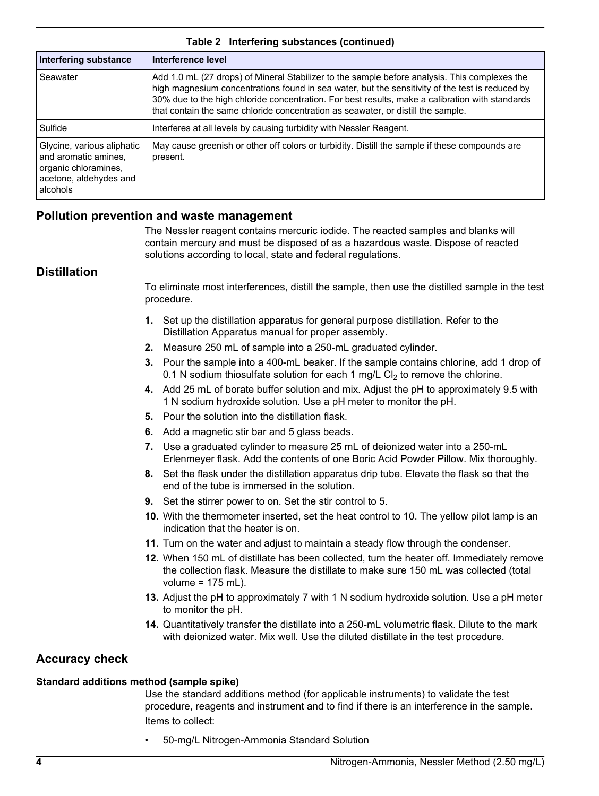| Interfering substance                                                                                            | Interference level                                                                                                                                                                                                                                                                                                                                                                      |
|------------------------------------------------------------------------------------------------------------------|-----------------------------------------------------------------------------------------------------------------------------------------------------------------------------------------------------------------------------------------------------------------------------------------------------------------------------------------------------------------------------------------|
| Seawater                                                                                                         | Add 1.0 mL (27 drops) of Mineral Stabilizer to the sample before analysis. This complexes the<br>high magnesium concentrations found in sea water, but the sensitivity of the test is reduced by<br>30% due to the high chloride concentration. For best results, make a calibration with standards<br>that contain the same chloride concentration as seawater, or distill the sample. |
| Sulfide                                                                                                          | Interferes at all levels by causing turbidity with Nessler Reagent.                                                                                                                                                                                                                                                                                                                     |
| Glycine, various aliphatic<br>and aromatic amines.<br>organic chloramines,<br>acetone, aldehydes and<br>alcohols | May cause greenish or other off colors or turbidity. Distill the sample if these compounds are<br>present.                                                                                                                                                                                                                                                                              |

#### **Table 2 Interfering substances (continued)**

### **Pollution prevention and waste management**

The Nessler reagent contains mercuric iodide. The reacted samples and blanks will contain mercury and must be disposed of as a hazardous waste. Dispose of reacted solutions according to local, state and federal regulations.

#### **Distillation**

To eliminate most interferences, distill the sample, then use the distilled sample in the test procedure.

- **1.** Set up the distillation apparatus for general purpose distillation. Refer to the Distillation Apparatus manual for proper assembly.
- **2.** Measure 250 mL of sample into a 250-mL graduated cylinder.
- **3.** Pour the sample into a 400-mL beaker. If the sample contains chlorine, add 1 drop of 0.1 N sodium thiosulfate solution for each 1 mg/L Cl<sub>2</sub> to remove the chlorine.
- **4.** Add 25 mL of borate buffer solution and mix. Adjust the pH to approximately 9.5 with 1 N sodium hydroxide solution. Use a pH meter to monitor the pH.
- **5.** Pour the solution into the distillation flask.
- **6.** Add a magnetic stir bar and 5 glass beads.
- **7.** Use a graduated cylinder to measure 25 mL of deionized water into a 250-mL Erlenmeyer flask. Add the contents of one Boric Acid Powder Pillow. Mix thoroughly.
- **8.** Set the flask under the distillation apparatus drip tube. Elevate the flask so that the end of the tube is immersed in the solution.
- **9.** Set the stirrer power to on. Set the stir control to 5.
- **10.** With the thermometer inserted, set the heat control to 10. The yellow pilot lamp is an indication that the heater is on.
- **11.** Turn on the water and adjust to maintain a steady flow through the condenser.
- **12.** When 150 mL of distillate has been collected, turn the heater off. Immediately remove the collection flask. Measure the distillate to make sure 150 mL was collected (total volume = 175 mL).
- **13.** Adjust the pH to approximately 7 with 1 N sodium hydroxide solution. Use a pH meter to monitor the pH.
- **14.** Quantitatively transfer the distillate into a 250-mL volumetric flask. Dilute to the mark with deionized water. Mix well. Use the diluted distillate in the test procedure.

# **Accuracy check**

#### **Standard additions method (sample spike)**

Use the standard additions method (for applicable instruments) to validate the test procedure, reagents and instrument and to find if there is an interference in the sample. Items to collect:

• 50-mg/L Nitrogen-Ammonia Standard Solution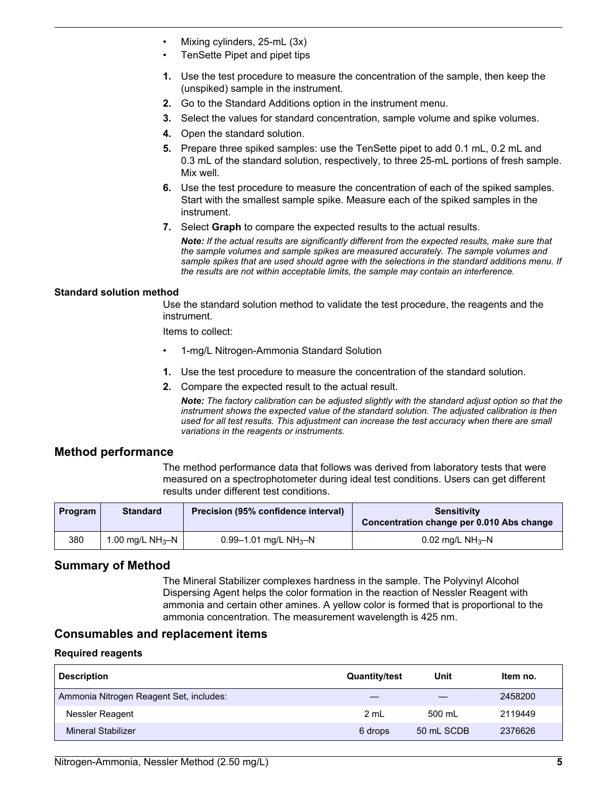- Mixing cylinders, 25-mL (3x)
- TenSette Pipet and pipet tips
- **1.** Use the test procedure to measure the concentration of the sample, then keep the (unspiked) sample in the instrument.
- **2.** Go to the Standard Additions option in the instrument menu.
- **3.** Select the values for standard concentration, sample volume and spike volumes.
- **4.** Open the standard solution.
- **5.** Prepare three spiked samples: use the TenSette pipet to add 0.1 mL, 0.2 mL and 0.3 mL of the standard solution, respectively, to three 25-mL portions of fresh sample. Mix well.
- **6.** Use the test procedure to measure the concentration of each of the spiked samples. Start with the smallest sample spike. Measure each of the spiked samples in the instrument.
- **7.** Select **Graph** to compare the expected results to the actual results.

*Note: If the actual results are significantly different from the expected results, make sure that the sample volumes and sample spikes are measured accurately. The sample volumes and sample spikes that are used should agree with the selections in the standard additions menu. If the results are not within acceptable limits, the sample may contain an interference.*

#### **Standard solution method**

Use the standard solution method to validate the test procedure, the reagents and the instrument.

Items to collect:

- 1-mg/L Nitrogen-Ammonia Standard Solution
- **1.** Use the test procedure to measure the concentration of the standard solution.
- **2.** Compare the expected result to the actual result.

*Note: The factory calibration can be adjusted slightly with the standard adjust option so that the instrument shows the expected value of the standard solution. The adjusted calibration is then used for all test results. This adjustment can increase the test accuracy when there are small variations in the reagents or instruments.*

#### **Method performance**

The method performance data that follows was derived from laboratory tests that were measured on a spectrophotometer during ideal test conditions. Users can get different results under different test conditions.

| <b>Program</b> | <b>Standard</b>    | Precision (95% confidence interval)   | Sensitivity<br>Concentration change per 0.010 Abs change |
|----------------|--------------------|---------------------------------------|----------------------------------------------------------|
| 380            | 1.00 mg/L $NH_3-N$ | $0.99 - 1.01$ mg/L NH <sub>3</sub> -N | $0.02$ mg/L NH <sub>3</sub> -N                           |

#### **Summary of Method**

The Mineral Stabilizer complexes hardness in the sample. The Polyvinyl Alcohol Dispersing Agent helps the color formation in the reaction of Nessler Reagent with ammonia and certain other amines. A yellow color is formed that is proportional to the ammonia concentration. The measurement wavelength is 425 nm.

#### <span id="page-4-0"></span>**Consumables and replacement items**

#### **Required reagents**

| <b>Description</b>                      | <b>Quantity/test</b> | Unit       | Item no. |
|-----------------------------------------|----------------------|------------|----------|
| Ammonia Nitrogen Reagent Set, includes: |                      |            | 2458200  |
| Nessler Reagent                         | 2 ml                 | 500 ml     | 2119449  |
| Mineral Stabilizer                      | 6 drops              | 50 mL SCDB | 2376626  |